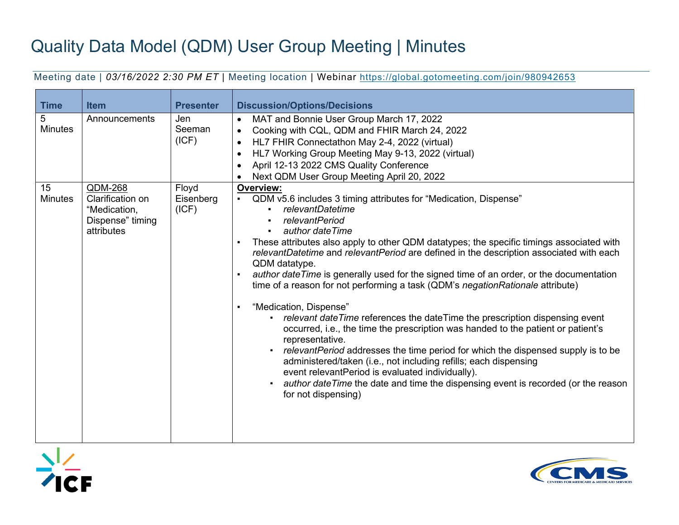## Quality Data Model (QDM) User Group Meeting | Minutes

Meeting date | *03/16/2022 2:30 PM ET* | Meeting location | Webinar<https://global.gotomeeting.com/join/980942653>

| <b>Time</b>          | <b>Item</b>                                                                   | <b>Presenter</b>            | <b>Discussion/Options/Decisions</b>                                                                                                                                                                                                                                                                                                                                                                                                                                                                                                                                                                                                                                                                                                                                                                                                                                                                                                                                                                                                                                                                                                                             |
|----------------------|-------------------------------------------------------------------------------|-----------------------------|-----------------------------------------------------------------------------------------------------------------------------------------------------------------------------------------------------------------------------------------------------------------------------------------------------------------------------------------------------------------------------------------------------------------------------------------------------------------------------------------------------------------------------------------------------------------------------------------------------------------------------------------------------------------------------------------------------------------------------------------------------------------------------------------------------------------------------------------------------------------------------------------------------------------------------------------------------------------------------------------------------------------------------------------------------------------------------------------------------------------------------------------------------------------|
| 5<br><b>Minutes</b>  | Announcements                                                                 | Jen<br>Seeman<br>(ICF)      | MAT and Bonnie User Group March 17, 2022<br>Cooking with CQL, QDM and FHIR March 24, 2022<br>$\bullet$<br>HL7 FHIR Connectathon May 2-4, 2022 (virtual)<br>$\bullet$<br>HL7 Working Group Meeting May 9-13, 2022 (virtual)<br>$\bullet$<br>April 12-13 2022 CMS Quality Conference<br>Next QDM User Group Meeting April 20, 2022                                                                                                                                                                                                                                                                                                                                                                                                                                                                                                                                                                                                                                                                                                                                                                                                                                |
| 15<br><b>Minutes</b> | QDM-268<br>Clarification on<br>"Medication,<br>Dispense" timing<br>attributes | Floyd<br>Eisenberg<br>(ICF) | <b>Overview:</b><br>QDM v5.6 includes 3 timing attributes for "Medication, Dispense"<br>relevantDatetime<br><i>relevantPeriod</i><br>author date Time<br>These attributes also apply to other QDM datatypes; the specific timings associated with<br>$\blacksquare$<br>relevantDatetime and relevantPeriod are defined in the description associated with each<br>QDM datatype.<br>author date Time is generally used for the signed time of an order, or the documentation<br>$\blacksquare$<br>time of a reason for not performing a task (QDM's negation Rationale attribute)<br>"Medication, Dispense"<br>$\blacksquare$<br>relevant date Time references the date Time the prescription dispensing event<br>occurred, i.e., the time the prescription was handed to the patient or patient's<br>representative.<br>relevantPeriod addresses the time period for which the dispensed supply is to be<br>$\blacksquare$<br>administered/taken (i.e., not including refills; each dispensing<br>event relevantPeriod is evaluated individually).<br>author date Time the date and time the dispensing event is recorded (or the reason<br>for not dispensing) |



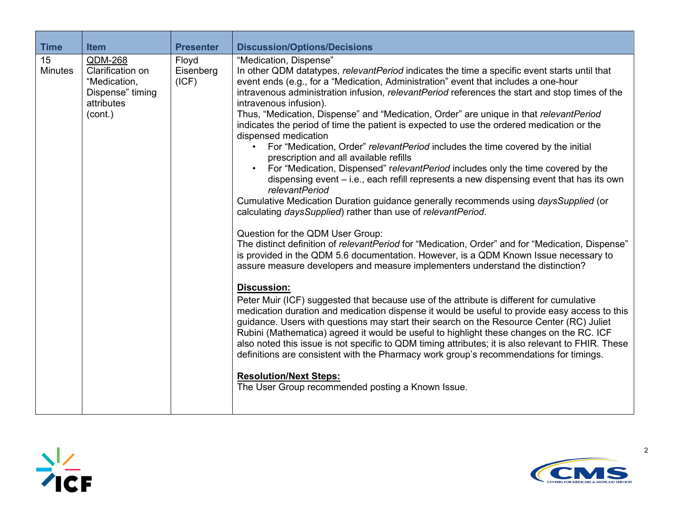| <b>Time</b>          | <b>Item</b>                                                                              | <b>Presenter</b>            | <b>Discussion/Options/Decisions</b>                                                                                                                                                                                                                                                                                                                                                                                                                                                                                                                                                                                                                                                                                                                                                                                                                                                                                                                                                                                                                                                                                                                                                                                                                                                                                                                                                                                                                                                                                                                                                                                                                                                                                                                                                                                                                                                                                                                                                                                                                                            |  |
|----------------------|------------------------------------------------------------------------------------------|-----------------------------|--------------------------------------------------------------------------------------------------------------------------------------------------------------------------------------------------------------------------------------------------------------------------------------------------------------------------------------------------------------------------------------------------------------------------------------------------------------------------------------------------------------------------------------------------------------------------------------------------------------------------------------------------------------------------------------------------------------------------------------------------------------------------------------------------------------------------------------------------------------------------------------------------------------------------------------------------------------------------------------------------------------------------------------------------------------------------------------------------------------------------------------------------------------------------------------------------------------------------------------------------------------------------------------------------------------------------------------------------------------------------------------------------------------------------------------------------------------------------------------------------------------------------------------------------------------------------------------------------------------------------------------------------------------------------------------------------------------------------------------------------------------------------------------------------------------------------------------------------------------------------------------------------------------------------------------------------------------------------------------------------------------------------------------------------------------------------------|--|
| 15<br><b>Minutes</b> | QDM-268<br>Clarification on<br>"Medication,<br>Dispense" timing<br>attributes<br>(cont.) | Floyd<br>Eisenberg<br>(ICF) | "Medication, Dispense"<br>In other QDM datatypes, relevantPeriod indicates the time a specific event starts until that<br>event ends (e.g., for a "Medication, Administration" event that includes a one-hour<br>intravenous administration infusion, relevantPeriod references the start and stop times of the<br>intravenous infusion).<br>Thus, "Medication, Dispense" and "Medication, Order" are unique in that relevantPeriod<br>indicates the period of time the patient is expected to use the ordered medication or the<br>dispensed medication<br>For "Medication, Order" relevantPeriod includes the time covered by the initial<br>prescription and all available refills<br>For "Medication, Dispensed" relevantPeriod includes only the time covered by the<br>dispensing event – i.e., each refill represents a new dispensing event that has its own<br><i>relevantPeriod</i><br>Cumulative Medication Duration guidance generally recommends using <i>daysSupplied</i> (or<br>calculating daysSupplied) rather than use of relevantPeriod.<br>Question for the QDM User Group:<br>The distinct definition of relevantPeriod for "Medication, Order" and for "Medication, Dispense"<br>is provided in the QDM 5.6 documentation. However, is a QDM Known Issue necessary to<br>assure measure developers and measure implementers understand the distinction?<br><b>Discussion:</b><br>Peter Muir (ICF) suggested that because use of the attribute is different for cumulative<br>medication duration and medication dispense it would be useful to provide easy access to this<br>guidance. Users with questions may start their search on the Resource Center (RC) Juliet<br>Rubini (Mathematica) agreed it would be useful to highlight these changes on the RC. ICF<br>also noted this issue is not specific to QDM timing attributes; it is also relevant to FHIR. These<br>definitions are consistent with the Pharmacy work group's recommendations for timings.<br><b>Resolution/Next Steps:</b><br>The User Group recommended posting a Known Issue. |  |



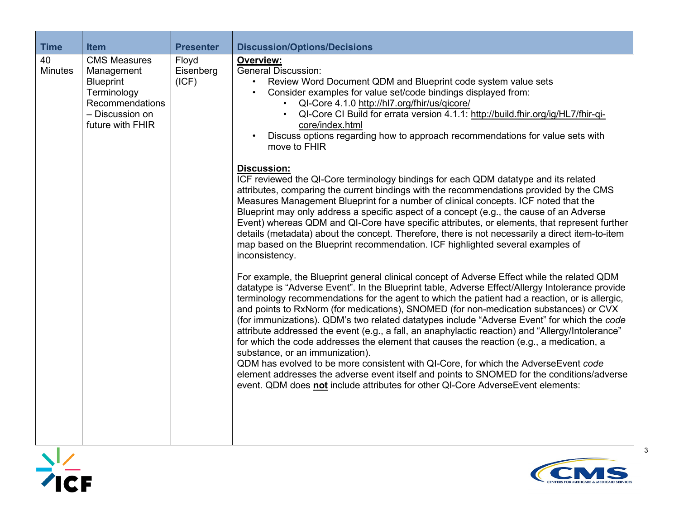| <b>Time</b>          | <b>Item</b>                                                                                                                    | <b>Presenter</b>            | <b>Discussion/Options/Decisions</b>                                                                                                                                                                                                                                                                                                                                                                                                                                                                                                                                                                                                                                                                                                                                                                                                                                                                                                                                                                 |
|----------------------|--------------------------------------------------------------------------------------------------------------------------------|-----------------------------|-----------------------------------------------------------------------------------------------------------------------------------------------------------------------------------------------------------------------------------------------------------------------------------------------------------------------------------------------------------------------------------------------------------------------------------------------------------------------------------------------------------------------------------------------------------------------------------------------------------------------------------------------------------------------------------------------------------------------------------------------------------------------------------------------------------------------------------------------------------------------------------------------------------------------------------------------------------------------------------------------------|
| 40<br><b>Minutes</b> | <b>CMS Measures</b><br>Management<br><b>Blueprint</b><br>Terminology<br>Recommendations<br>- Discussion on<br>future with FHIR | Floyd<br>Eisenberg<br>(ICF) | <b>Overview:</b><br><b>General Discussion:</b><br>Review Word Document QDM and Blueprint code system value sets<br>Consider examples for value set/code bindings displayed from:<br>QI-Core 4.1.0 http://hl7.org/fhir/us/qicore/<br>QI-Core CI Build for errata version 4.1.1: http://build.fhir.org/ig/HL7/fhir-qi-<br>core/index.html<br>Discuss options regarding how to approach recommendations for value sets with<br>move to FHIR<br><b>Discussion:</b><br>ICF reviewed the QI-Core terminology bindings for each QDM datatype and its related<br>attributes, comparing the current bindings with the recommendations provided by the CMS                                                                                                                                                                                                                                                                                                                                                    |
|                      |                                                                                                                                |                             | Measures Management Blueprint for a number of clinical concepts. ICF noted that the<br>Blueprint may only address a specific aspect of a concept (e.g., the cause of an Adverse<br>Event) whereas QDM and QI-Core have specific attributes, or elements, that represent further<br>details (metadata) about the concept. Therefore, there is not necessarily a direct item-to-item<br>map based on the Blueprint recommendation. ICF highlighted several examples of<br>inconsistency.                                                                                                                                                                                                                                                                                                                                                                                                                                                                                                              |
|                      |                                                                                                                                |                             | For example, the Blueprint general clinical concept of Adverse Effect while the related QDM<br>datatype is "Adverse Event". In the Blueprint table, Adverse Effect/Allergy Intolerance provide<br>terminology recommendations for the agent to which the patient had a reaction, or is allergic,<br>and points to RxNorm (for medications), SNOMED (for non-medication substances) or CVX<br>(for immunizations). QDM's two related datatypes include "Adverse Event" for which the code<br>attribute addressed the event (e.g., a fall, an anaphylactic reaction) and "Allergy/Intolerance"<br>for which the code addresses the element that causes the reaction (e.g., a medication, a<br>substance, or an immunization).<br>QDM has evolved to be more consistent with QI-Core, for which the AdverseEvent code<br>element addresses the adverse event itself and points to SNOMED for the conditions/adverse<br>event. QDM does not include attributes for other QI-Core AdverseEvent elements: |



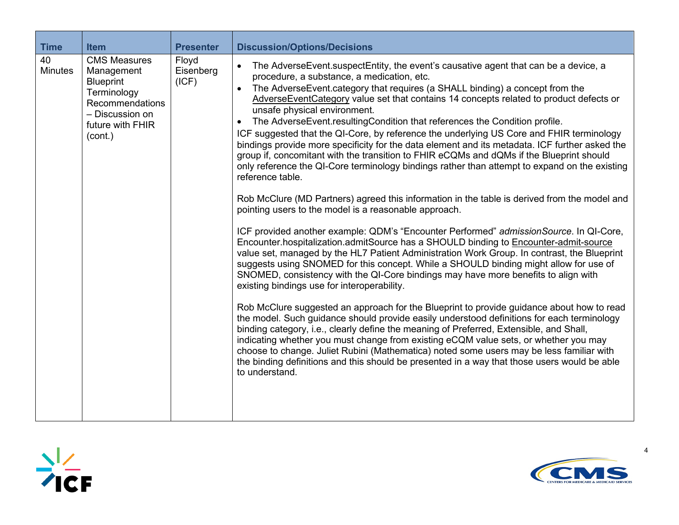| <b>Time</b>          | <b>Item</b>                                                                                                                               | <b>Presenter</b>            | <b>Discussion/Options/Decisions</b>                                                                                                                                                                                                                                                                                                                                                                                                                                                                                                                                                                                                                                                                                                                                                                                                                                                                                                                                                                                                                                                                                                                                                                                                                                                                                                                                                                                                                                                                                                                                                                                                                                                                                                                                                                                                                                                                                                                                                                                                                                                                                                                   |
|----------------------|-------------------------------------------------------------------------------------------------------------------------------------------|-----------------------------|-------------------------------------------------------------------------------------------------------------------------------------------------------------------------------------------------------------------------------------------------------------------------------------------------------------------------------------------------------------------------------------------------------------------------------------------------------------------------------------------------------------------------------------------------------------------------------------------------------------------------------------------------------------------------------------------------------------------------------------------------------------------------------------------------------------------------------------------------------------------------------------------------------------------------------------------------------------------------------------------------------------------------------------------------------------------------------------------------------------------------------------------------------------------------------------------------------------------------------------------------------------------------------------------------------------------------------------------------------------------------------------------------------------------------------------------------------------------------------------------------------------------------------------------------------------------------------------------------------------------------------------------------------------------------------------------------------------------------------------------------------------------------------------------------------------------------------------------------------------------------------------------------------------------------------------------------------------------------------------------------------------------------------------------------------------------------------------------------------------------------------------------------------|
| 40<br><b>Minutes</b> | <b>CMS Measures</b><br>Management<br><b>Blueprint</b><br>Terminology<br>Recommendations<br>- Discussion on<br>future with FHIR<br>(cont.) | Floyd<br>Eisenberg<br>(ICF) | The Adverse Event suspect Entity, the event's causative agent that can be a device, a<br>$\bullet$<br>procedure, a substance, a medication, etc.<br>The AdverseEvent.category that requires (a SHALL binding) a concept from the<br>$\bullet$<br>AdverseEventCategory value set that contains 14 concepts related to product defects or<br>unsafe physical environment.<br>The AdverseEvent.resultingCondition that references the Condition profile.<br>$\bullet$<br>ICF suggested that the QI-Core, by reference the underlying US Core and FHIR terminology<br>bindings provide more specificity for the data element and its metadata. ICF further asked the<br>group if, concomitant with the transition to FHIR eCQMs and dQMs if the Blueprint should<br>only reference the QI-Core terminology bindings rather than attempt to expand on the existing<br>reference table.<br>Rob McClure (MD Partners) agreed this information in the table is derived from the model and<br>pointing users to the model is a reasonable approach.<br>ICF provided another example: QDM's "Encounter Performed" admissionSource. In QI-Core,<br>Encounter.hospitalization.admitSource has a SHOULD binding to Encounter-admit-source<br>value set, managed by the HL7 Patient Administration Work Group. In contrast, the Blueprint<br>suggests using SNOMED for this concept. While a SHOULD binding might allow for use of<br>SNOMED, consistency with the QI-Core bindings may have more benefits to align with<br>existing bindings use for interoperability.<br>Rob McClure suggested an approach for the Blueprint to provide guidance about how to read<br>the model. Such guidance should provide easily understood definitions for each terminology<br>binding category, i.e., clearly define the meaning of Preferred, Extensible, and Shall,<br>indicating whether you must change from existing eCQM value sets, or whether you may<br>choose to change. Juliet Rubini (Mathematica) noted some users may be less familiar with<br>the binding definitions and this should be presented in a way that those users would be able<br>to understand. |



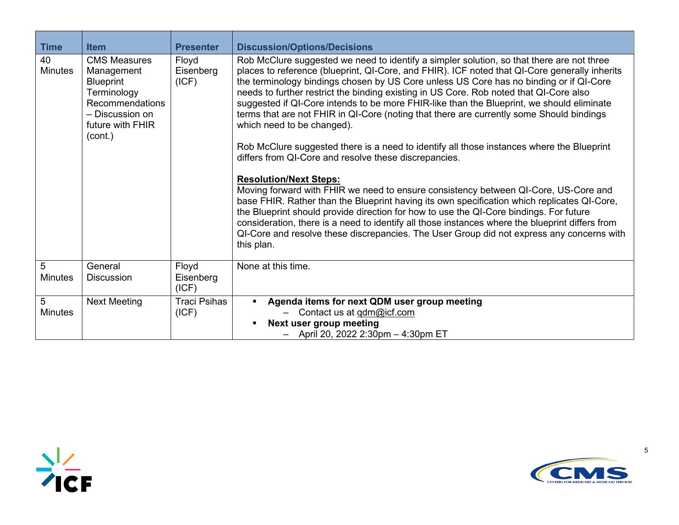| <b>Time</b>          | <b>Item</b>                                                                                                                                      | <b>Presenter</b>             | <b>Discussion/Options/Decisions</b>                                                                                                                                                                                                                                                                                                                                                                                                                                                                                                                                                                                                                                                                                                                                                                                                                                                                                                                                                                                                                                                                                                                                                                                                                                                        |
|----------------------|--------------------------------------------------------------------------------------------------------------------------------------------------|------------------------------|--------------------------------------------------------------------------------------------------------------------------------------------------------------------------------------------------------------------------------------------------------------------------------------------------------------------------------------------------------------------------------------------------------------------------------------------------------------------------------------------------------------------------------------------------------------------------------------------------------------------------------------------------------------------------------------------------------------------------------------------------------------------------------------------------------------------------------------------------------------------------------------------------------------------------------------------------------------------------------------------------------------------------------------------------------------------------------------------------------------------------------------------------------------------------------------------------------------------------------------------------------------------------------------------|
| 40<br><b>Minutes</b> | <b>CMS Measures</b><br>Management<br><b>Blueprint</b><br>Terminology<br><b>Recommendations</b><br>- Discussion on<br>future with FHIR<br>(cont.) | Floyd<br>Eisenberg<br>(ICF)  | Rob McClure suggested we need to identify a simpler solution, so that there are not three<br>places to reference (blueprint, QI-Core, and FHIR). ICF noted that QI-Core generally inherits<br>the terminology bindings chosen by US Core unless US Core has no binding or if QI-Core<br>needs to further restrict the binding existing in US Core. Rob noted that QI-Core also<br>suggested if QI-Core intends to be more FHIR-like than the Blueprint, we should eliminate<br>terms that are not FHIR in QI-Core (noting that there are currently some Should bindings<br>which need to be changed).<br>Rob McClure suggested there is a need to identify all those instances where the Blueprint<br>differs from QI-Core and resolve these discrepancies.<br><b>Resolution/Next Steps:</b><br>Moving forward with FHIR we need to ensure consistency between QI-Core, US-Core and<br>base FHIR. Rather than the Blueprint having its own specification which replicates QI-Core,<br>the Blueprint should provide direction for how to use the QI-Core bindings. For future<br>consideration, there is a need to identify all those instances where the blueprint differs from<br>QI-Core and resolve these discrepancies. The User Group did not express any concerns with<br>this plan. |
| 5<br><b>Minutes</b>  | General<br><b>Discussion</b>                                                                                                                     | Floyd<br>Eisenberg<br>(ICF)  | None at this time.                                                                                                                                                                                                                                                                                                                                                                                                                                                                                                                                                                                                                                                                                                                                                                                                                                                                                                                                                                                                                                                                                                                                                                                                                                                                         |
| 5<br><b>Minutes</b>  | <b>Next Meeting</b>                                                                                                                              | <b>Traci Psihas</b><br>(ICF) | Agenda items for next QDM user group meeting<br>$\blacksquare$<br>Contact us at qdm@icf.com<br>Next user group meeting<br>$\blacksquare$<br>April 20, 2022 2:30pm - 4:30pm ET                                                                                                                                                                                                                                                                                                                                                                                                                                                                                                                                                                                                                                                                                                                                                                                                                                                                                                                                                                                                                                                                                                              |



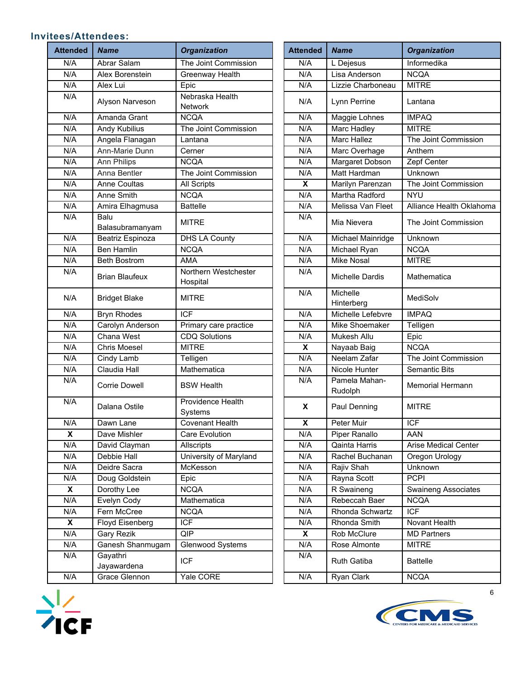## **Invitees/Attendees:**

| <b>Attended</b> | <b>Name</b>             | <b>Organization</b>                 | <b>Attended</b>         | <b>Name</b>              | <b>Organization</b>     |
|-----------------|-------------------------|-------------------------------------|-------------------------|--------------------------|-------------------------|
| N/A             | Abrar Salam             | The Joint Commission                | N/A                     | L Dejesus                | Informedika             |
| N/A             | Alex Borenstein         | Greenway Health                     | N/A                     | Lisa Anderson            | <b>NCQA</b>             |
| N/A             | Alex Lui                | Epic                                | N/A                     | Lizzie Charboneau        | <b>MITRE</b>            |
| N/A             | Alyson Narveson         | Nebraska Health<br>Network          | N/A                     | Lynn Perrine             | Lantana                 |
| N/A             | Amanda Grant            | <b>NCQA</b>                         | N/A                     | Maggie Lohnes            | <b>IMPAQ</b>            |
| N/A             | Andy Kubilius           | The Joint Commission                | N/A                     | Marc Hadley              | <b>MITRE</b>            |
| N/A             | Angela Flanagan         | Lantana                             | N/A                     | <b>Marc Hallez</b>       | The Joint Commission    |
| N/A             | Ann-Marie Dunn          | Cerner                              | N/A                     | Marc Overhage            | Anthem                  |
| N/A             | Ann Philips             | <b>NCQA</b>                         | N/A                     | Margaret Dobson          | Zepf Center             |
| N/A             | Anna Bentler            | The Joint Commission                | N/A                     | Matt Hardman             | Unknown                 |
| N/A             | <b>Anne Coultas</b>     | <b>All Scripts</b>                  | X                       | Marilyn Parenzan         | The Joint Commission    |
| N/A             | Anne Smith              | <b>NCQA</b>                         | N/A                     | Martha Radford           | <b>NYU</b>              |
| N/A             | Amira Elhagmusa         | <b>Battelle</b>                     | N/A                     | Melissa Van Fleet        | Alliance Health Oklaho  |
| N/A             | Balu<br>Balasubramanyam | <b>MITRE</b>                        | N/A                     | Mia Nievera              | The Joint Commission    |
| N/A             | Beatriz Espinoza        | <b>DHS LA County</b>                | N/A                     | Michael Mainridge        | Unknown                 |
| N/A             | <b>Ben Hamlin</b>       | <b>NCQA</b>                         | N/A                     | Michael Ryan             | <b>NCQA</b>             |
| N/A             | <b>Beth Bostrom</b>     | AMA                                 | N/A                     | <b>Mike Nosal</b>        | <b>MITRE</b>            |
| N/A             | <b>Brian Blaufeux</b>   | Northern Westchester<br>Hospital    | N/A                     | <b>Michelle Dardis</b>   | Mathematica             |
| N/A             | <b>Bridget Blake</b>    | <b>MITRE</b>                        | N/A                     | Michelle<br>Hinterberg   | MediSolv                |
| N/A             | <b>Bryn Rhodes</b>      | <b>ICF</b>                          | N/A                     | Michelle Lefebvre        | <b>IMPAQ</b>            |
| N/A             | Carolyn Anderson        | Primary care practice               | N/A                     | Mike Shoemaker           | Telligen                |
| N/A             | Chana West              | <b>CDQ Solutions</b>                | N/A                     | Mukesh Allu              | Epic                    |
| N/A             | <b>Chris Moesel</b>     | <b>MITRE</b>                        | X                       | Nayaab Baig              | <b>NCQA</b>             |
| N/A             | Cindy Lamb              | Telligen                            | N/A                     | Neelam Zafar             | The Joint Commission    |
| N/A             | Claudia Hall            | Mathematica                         | N/A                     | Nicole Hunter            | <b>Semantic Bits</b>    |
| N/A             | <b>Corrie Dowell</b>    | <b>BSW Health</b>                   | N/A                     | Pamela Mahan-<br>Rudolph | <b>Memorial Hermann</b> |
| N/A             | Dalana Ostile           | <b>Providence Health</b><br>Systems | X                       | Paul Denning             | <b>MITRE</b>            |
| N/A             | Dawn Lane               | <b>Covenant Health</b>              | $\overline{\mathbf{X}}$ | Peter Muir               | $\overline{ICF}$        |
| X               | Dave Mishler            | Care Evolution                      | N/A                     | Piper Ranallo            | AAN                     |
| N/A             | David Clayman           | Allscripts                          | N/A                     | Qainta Harris            | Arise Medical Center    |
| N/A             | Debbie Hall             | University of Maryland              | N/A                     | Rachel Buchanan          | Oregon Urology          |
| N/A             | Deidre Sacra            | McKesson                            | N/A                     | Rajiv Shah               | Unknown                 |
| N/A             | Doug Goldstein          | Epic                                | N/A                     | Rayna Scott              | <b>PCPI</b>             |
| X               | Dorothy Lee             | <b>NCQA</b>                         | N/A                     | R Swaineng               | Swaineng Associates     |
| N/A             | Evelyn Cody             | Mathematica                         | N/A                     | Rebeccah Baer            | <b>NCQA</b>             |
| N/A             | Fern McCree             | <b>NCQA</b>                         | N/A                     | Rhonda Schwartz          | <b>ICF</b>              |
| X               | Floyd Eisenberg         | $\overline{ICF}$                    | N/A                     | Rhonda Smith             | Novant Health           |
| N/A             | Gary Rezik              | QIP                                 | X                       | Rob McClure              | <b>MD Partners</b>      |
| N/A             | Ganesh Shanmugam        | Glenwood Systems                    | N/A                     | Rose Almonte             | <b>MITRE</b>            |
| N/A             | Gayathri<br>Jayawardena | <b>ICF</b>                          | N/A                     | Ruth Gatiba              | <b>Battelle</b>         |
| N/A             | Grace Glennon           | Yale CORE                           | N/A                     | Ryan Clark               | <b>NCQA</b>             |
|                 |                         |                                     |                         |                          |                         |

| tended                    | <b>Name</b>             | <b>Organization</b>              | <b>Attended</b>         | <b>Name</b>              | <b>Organization</b>         |
|---------------------------|-------------------------|----------------------------------|-------------------------|--------------------------|-----------------------------|
| N/A                       | Abrar Salam             | The Joint Commission             | N/A                     | L Dejesus                | Informedika                 |
| N/A                       | Alex Borenstein         | Greenway Health                  | N/A                     | Lisa Anderson            | <b>NCQA</b>                 |
| N/A                       | Alex Lui                | Epic                             | N/A                     | Lizzie Charboneau        | <b>MITRE</b>                |
| N/A                       |                         | Nebraska Health                  |                         |                          |                             |
|                           | Alyson Narveson         | <b>Network</b>                   | N/A                     | Lynn Perrine             | Lantana                     |
| N/A                       | Amanda Grant            | <b>NCQA</b>                      | N/A                     | Maggie Lohnes            | <b>IMPAQ</b>                |
| N/A                       | Andy Kubilius           | The Joint Commission             | N/A                     | Marc Hadley              | <b>MITRE</b>                |
| N/A                       | Angela Flanagan         | Lantana                          | N/A                     | <b>Marc Hallez</b>       | The Joint Commission        |
| N/A                       | Ann-Marie Dunn          | Cerner                           | N/A                     | Marc Overhage            | Anthem                      |
| N/A                       | <b>Ann Philips</b>      | <b>NCQA</b>                      | N/A                     | Margaret Dobson          | Zepf Center                 |
| N/A                       | Anna Bentler            | The Joint Commission             | N/A                     | Matt Hardman             | Unknown                     |
| N/A                       | <b>Anne Coultas</b>     | <b>All Scripts</b>               | $\overline{\mathbf{x}}$ | Marilyn Parenzan         | The Joint Commission        |
| N/A                       | Anne Smith              | <b>NCQA</b>                      | N/A                     | Martha Radford           | <b>NYU</b>                  |
| N/A                       | Amira Elhagmusa         | <b>Battelle</b>                  | N/A                     | Melissa Van Fleet        | Alliance Health Oklahoma    |
| N/A                       | Balu<br>Balasubramanyam | <b>MITRE</b>                     | N/A                     | Mia Nievera              | The Joint Commission        |
| N/A                       | Beatriz Espinoza        | <b>DHS LA County</b>             | N/A                     | Michael Mainridge        | Unknown                     |
| N/A                       | <b>Ben Hamlin</b>       | <b>NCQA</b>                      | N/A                     | Michael Ryan             | <b>NCQA</b>                 |
| N/A                       | <b>Beth Bostrom</b>     | <b>AMA</b>                       | N/A                     | <b>Mike Nosal</b>        | <b>MITRE</b>                |
| N/A                       | <b>Brian Blaufeux</b>   | Northern Westchester<br>Hospital | N/A                     | Michelle Dardis          | Mathematica                 |
| N/A                       | <b>Bridget Blake</b>    | <b>MITRE</b>                     | N/A                     | Michelle<br>Hinterberg   | MediSolv                    |
| N/A                       | <b>Bryn Rhodes</b>      | <b>ICF</b>                       | N/A                     | Michelle Lefebvre        | <b>IMPAQ</b>                |
| N/A                       | Carolyn Anderson        | Primary care practice            | N/A                     | Mike Shoemaker           | Telligen                    |
| N/A                       | Chana West              | <b>CDQ Solutions</b>             | N/A                     | Mukesh Allu              | Epic                        |
| N/A                       | <b>Chris Moesel</b>     | <b>MITRE</b>                     | X                       | Nayaab Baig              | <b>NCQA</b>                 |
| N/A                       | Cindy Lamb              | Telligen                         | N/A                     | Neelam Zafar             | The Joint Commission        |
| N/A                       | Claudia Hall            | Mathematica                      | N/A                     | Nicole Hunter            | <b>Semantic Bits</b>        |
| N/A                       | <b>Corrie Dowell</b>    | <b>BSW Health</b>                | N/A                     | Pamela Mahan-<br>Rudolph | <b>Memorial Hermann</b>     |
| N/A                       | Dalana Ostile           | Providence Health<br>Systems     | X                       | Paul Denning             | <b>MITRE</b>                |
| N/A                       | Dawn Lane               | Covenant Health                  | X                       | Peter Muir               | <b>ICF</b>                  |
| $\boldsymbol{\mathsf{x}}$ | Dave Mishler            | Care Evolution                   | N/A                     | <b>Piper Ranallo</b>     | AAN                         |
| N/A                       | David Clayman           | Allscripts                       | N/A                     | Qainta Harris            | <b>Arise Medical Center</b> |
| N/A                       | Debbie Hall             | University of Maryland           | N/A                     | Rachel Buchanan          | Oregon Urology              |
| N/A                       | Deidre Sacra            | McKesson                         | N/A                     | Rajiv Shah               | Unknown                     |
| N/A                       | Doug Goldstein          | Epic                             | N/A                     | Rayna Scott              | <b>PCPI</b>                 |
| $\boldsymbol{\mathsf{X}}$ | Dorothy Lee             | <b>NCQA</b>                      | N/A                     | R Swaineng               | <b>Swaineng Associates</b>  |
| N/A                       | Evelyn Cody             | Mathematica                      | N/A                     | Rebeccah Baer            | <b>NCQA</b>                 |
| N/A                       | Fern McCree             | <b>NCQA</b>                      | N/A                     | Rhonda Schwartz          | <b>ICF</b>                  |
| $\boldsymbol{\mathsf{x}}$ | Floyd Eisenberg         | <b>ICF</b>                       | N/A                     | Rhonda Smith             | Novant Health               |
| N/A                       | Gary Rezik              | QIP                              | X                       | Rob McClure              | <b>MD Partners</b>          |
| N/A                       | Ganesh Shanmugam        | Glenwood Systems                 | N/A                     | Rose Almonte             | <b>MITRE</b>                |
| N/A                       | Gayathri<br>Jayawardena | ICF                              | N/A                     | Ruth Gatiba              | <b>Battelle</b>             |
| N/A                       | Grace Glennon           | Yale CORE                        | N/A                     | Ryan Clark               | <b>NCQA</b>                 |
|                           |                         |                                  |                         |                          |                             |